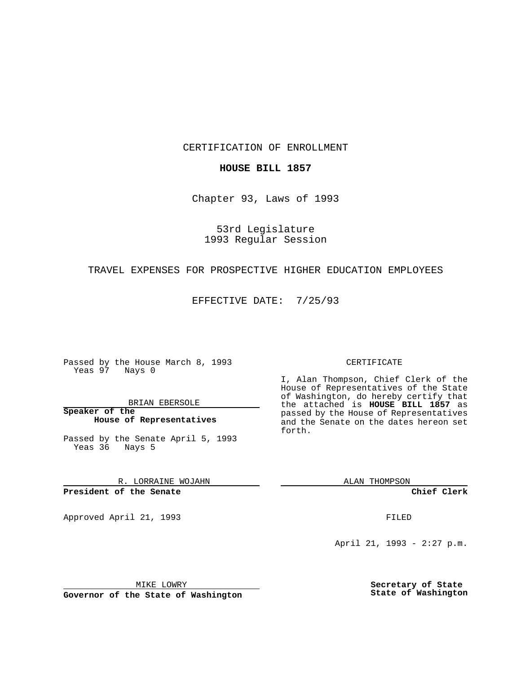CERTIFICATION OF ENROLLMENT

## **HOUSE BILL 1857**

Chapter 93, Laws of 1993

53rd Legislature 1993 Regular Session

## TRAVEL EXPENSES FOR PROSPECTIVE HIGHER EDUCATION EMPLOYEES

EFFECTIVE DATE: 7/25/93

Passed by the House March 8, 1993 Yeas 97 Nays 0

BRIAN EBERSOLE

**Speaker of the House of Representatives**

Passed by the Senate April 5, 1993 Yeas 36 Nays 5

R. LORRAINE WOJAHN

**President of the Senate**

Approved April 21, 1993 **FILED** 

#### CERTIFICATE

I, Alan Thompson, Chief Clerk of the House of Representatives of the State of Washington, do hereby certify that the attached is **HOUSE BILL 1857** as passed by the House of Representatives and the Senate on the dates hereon set forth.

ALAN THOMPSON

**Chief Clerk**

April 21, 1993 - 2:27 p.m.

MIKE LOWRY

**Governor of the State of Washington**

**Secretary of State State of Washington**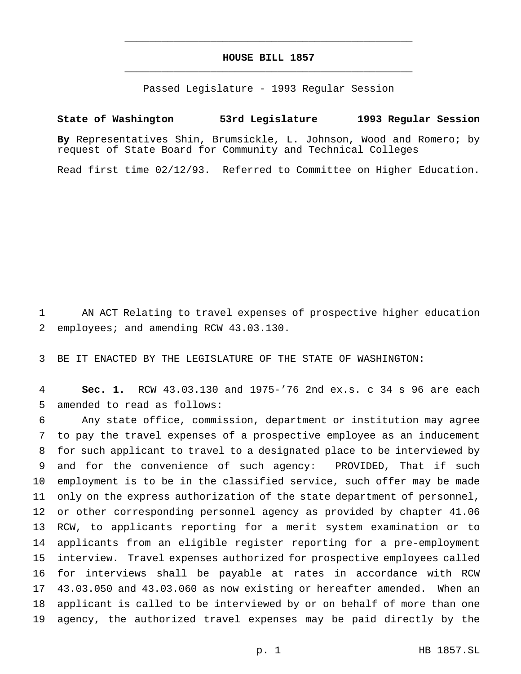# **HOUSE BILL 1857** \_\_\_\_\_\_\_\_\_\_\_\_\_\_\_\_\_\_\_\_\_\_\_\_\_\_\_\_\_\_\_\_\_\_\_\_\_\_\_\_\_\_\_\_\_\_\_

\_\_\_\_\_\_\_\_\_\_\_\_\_\_\_\_\_\_\_\_\_\_\_\_\_\_\_\_\_\_\_\_\_\_\_\_\_\_\_\_\_\_\_\_\_\_\_

Passed Legislature - 1993 Regular Session

## **State of Washington 53rd Legislature 1993 Regular Session**

**By** Representatives Shin, Brumsickle, L. Johnson, Wood and Romero; by request of State Board for Community and Technical Colleges

Read first time 02/12/93. Referred to Committee on Higher Education.

 AN ACT Relating to travel expenses of prospective higher education employees; and amending RCW 43.03.130.

BE IT ENACTED BY THE LEGISLATURE OF THE STATE OF WASHINGTON:

 **Sec. 1.** RCW 43.03.130 and 1975-'76 2nd ex.s. c 34 s 96 are each amended to read as follows:

 Any state office, commission, department or institution may agree to pay the travel expenses of a prospective employee as an inducement for such applicant to travel to a designated place to be interviewed by and for the convenience of such agency: PROVIDED, That if such employment is to be in the classified service, such offer may be made only on the express authorization of the state department of personnel, or other corresponding personnel agency as provided by chapter 41.06 RCW, to applicants reporting for a merit system examination or to applicants from an eligible register reporting for a pre-employment interview. Travel expenses authorized for prospective employees called for interviews shall be payable at rates in accordance with RCW 43.03.050 and 43.03.060 as now existing or hereafter amended. When an applicant is called to be interviewed by or on behalf of more than one agency, the authorized travel expenses may be paid directly by the